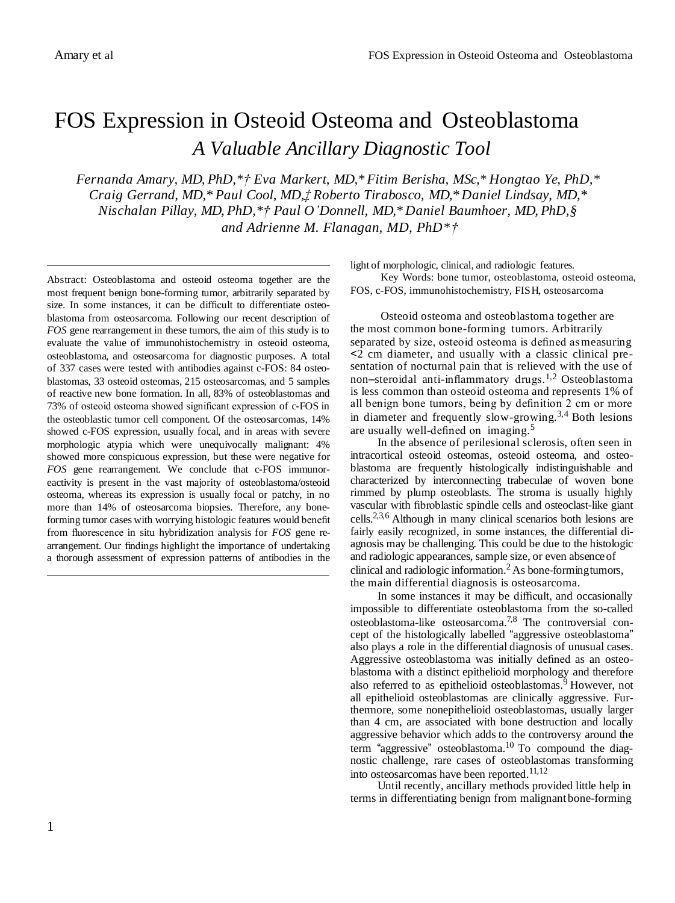# FOS Expression in Osteoid Osteoma and Osteoblastoma *A Valuable Ancillary Diagnostic Tool*

*Fernanda Amary, MD, PhD,\*† Eva Markert, MD,\* Fitim Berisha, MSc,\* Hongtao Ye, PhD,\* Craig Gerrand, MD,\* Paul Cool, MD,‡ Roberto Tirabosco, MD,\* Daniel Lindsay, MD,\* Nischalan Pillay, MD, PhD,\*† Paul O'Donnell, MD,\* Daniel Baumhoer, MD, PhD,§ and Adrienne M. Flanagan, MD, PhD\*†*

Abstract: Osteoblastoma and osteoid osteoma together are the most frequent benign bone-forming tumor, arbitrarily separated by size. In some instances, it can be difficult to differentiate osteoblastoma from osteosarcoma. Following our recent description of *FOS* gene rearrangement in these tumors, the aim of this study is to evaluate the value of immunohistochemistry in osteoid osteoma, osteoblastoma, and osteosarcoma for diagnostic purposes. A total of 337 cases were tested with antibodies against c-FOS: 84 osteoblastomas, 33 osteoid osteomas, 215 osteosarcomas, and 5 samples of reactive new bone formation. In all, 83% of osteoblastomas and 73% of osteoid osteoma showed significant expression of c-FOS in the osteoblastic tumor cell component. Of the osteosarcomas, 14% showed c-FOS expression, usually focal, and in areas with severe morphologic atypia which were unequivocally malignant: 4% showed more conspicuous expression, but these were negative for *FOS* gene rearrangement. We conclude that c-FOS immunoreactivity is present in the vast majority of osteoblastoma/osteoid osteoma, whereas its expression is usually focal or patchy, in no more than 14% of osteosarcoma biopsies. Therefore, any boneforming tumor cases with worrying histologic features would benefit from fluorescence in situ hybridization analysis for *FOS* gene rearrangement. Our findings highlight the importance of undertaking a thorough assessment of expression patterns of antibodies in the light of morphologic, clinical, and radiologic features.

Key Words: bone tumor, osteoblastoma, osteoid osteoma, FOS, c-FOS, immunohistochemistry, FISH, osteosarcoma

Osteoid osteoma and osteoblastoma together are the most common bone-forming tumors. Arbitrarily separated by size, osteoid osteoma is defined asmeasuring <2 cm diameter, and usually with a classic clinical presentation of nocturnal pain that is relieved with the use of non–steroidal anti-inflammatory drugs.[1,2](#page-6-0) Osteoblastoma is less common than osteoid osteoma and represents 1% of all benign bone tumors, being by definition 2 cm or more in diameter and frequently slow-growing.<sup>[3,4](#page-6-1)</sup> Both lesions are usually well-defined on imaging.<sup>[5](#page-6-2)</sup>

In the absence of perilesional sclerosis, often seen in intracortical osteoid osteomas, osteoid osteoma, and osteoblastoma are frequently histologically indistinguishable and characterized by interconnecting trabeculae of woven bone rimmed by plump osteoblasts. The stroma is usually highly vascular with fibroblastic spindle cells and osteoclast-like giant cells.[2,3,6](#page-6-3) Although in many clinical scenarios both lesions are fairly easily recognized, in some instances, the differential diagnosis may be challenging. This could be due to the histologic and radiologic appearances, sample size, or even absenceof clinical and radiologic informatio[n.](#page-6-3)<sup>2</sup> As bone-forming tumors, the main differential diagnosis is osteosarcoma.

In some instances it may be difficult, and occasionally impossible to differentiate osteoblastoma from the so-called osteoblastoma-like osteosarcoma.[7,8](#page-6-4) The controversial concept of the histologically labelled "aggressive osteoblastoma" also plays a role in the differential diagnosis of unusual cases. Aggressive osteoblastoma was initially defined as an osteoblastoma with a distinct epithelioid morphology and therefore also referred to as epithelioid osteoblastomas.<sup>[9](#page-6-5)</sup> However, not all epithelioid osteoblastomas are clinically aggressive. Furthermore, some nonepithelioid osteoblastomas, usually larger than 4 cm, are associated with bone destruction and locally aggressive behavior which adds to the controversy around the term "aggressive" osteoblastoma.<sup>[10](#page-6-6)</sup> To compound the diagnostic challenge, rare cases of osteoblastomas transforming into osteosarcomas have been reported.<sup>[11,12](#page-6-7)</sup>

Until recently, ancillary methods provided little help in terms in differentiating benign from malignant bone-forming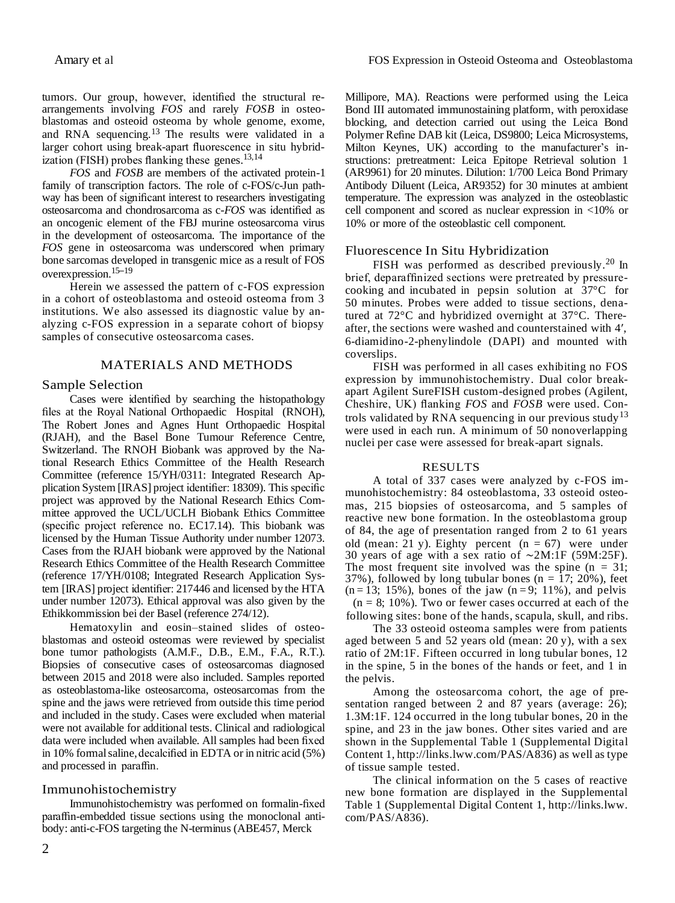tumors. Our group, however, identified the structural rearrangements involving *FOS* and rarely *FOSB* in osteoblastomas and osteoid osteoma by whole genome, exome, and RNA sequencing.[13](#page-6-8) The results were validated in a larger cohort using break-apart fluorescence in situ hybrid-ization (FISH) probes flanking these genes.<sup>[13,14](#page-6-8)</sup>

*FOS* and *FOSB* are members of the activated protein-1 family of transcription factors. The role of c-FOS/c-Jun pathway has been of significant interest to researchers investigating osteosarcoma and chondrosarcoma as c-*FOS* was identified as an oncogenic element of the FBJ murine osteosarcoma virus in the development of osteosarcoma. The importance of the *FOS* gene in osteosarcoma was underscored when primary bone sarcomas developed in transgenic mice as a result of FOS overexpression.[15](#page-6-9)–<sup>19</sup>

Herein we assessed the pattern of c-FOS expression in a cohort of osteoblastoma and osteoid osteoma from 3 institutions. We also assessed its diagnostic value by analyzing c-FOS expression in a separate cohort of biopsy samples of consecutive osteosarcoma cases.

## MATERIALS AND METHODS

## Sample Selection

Cases were identified by searching the histopathology files at the Royal National Orthopaedic Hospital (RNOH), The Robert Jones and Agnes Hunt Orthopaedic Hospital (RJAH), and the Basel Bone Tumour Reference Centre, Switzerland. The RNOH Biobank was approved by the National Research Ethics Committee of the Health Research Committee (reference 15/YH/0311: Integrated Research Application System [IRAS] project identifier: 18309). This specific project was approved by the National Research Ethics Committee approved the UCL/UCLH Biobank Ethics Committee (specific project reference no. EC17.14). This biobank was licensed by the Human Tissue Authority under number 12073. Cases from the RJAH biobank were approved by the National Research Ethics Committee of the Health Research Committee (reference 17/YH/0108; Integrated Research Application System [IRAS] project identifier: 217446 and licensed by the HTA under number 12073). Ethical approval was also given by the Ethikkommission bei der Basel (reference 274/12).

Hematoxylin and eosin–stained slides of osteoblastomas and osteoid osteomas were reviewed by specialist bone tumor pathologists (A.M.F., D.B., E.M., F.A., R.T.). Biopsies of consecutive cases of osteosarcomas diagnosed between 2015 and 2018 were also included. Samples reported as osteoblastoma-like osteosarcoma, osteosarcomas from the spine and the jaws were retrieved from outside this time period and included in the study. Cases were excluded when material were not available for additional tests. Clinical and radiological data were included when available. All samples had been fixed in 10% formal saline, decalcified in EDTA or in nitric acid (5%) and processed in paraffin.

## Immunohistochemistry

Immunohistochemistry was performed on formalin-fixed paraffin-embedded tissue sections using the monoclonal antibody: anti-c-FOS targeting the N-terminus (ABE457, Merck

Millipore, MA). Reactions were performed using the Leica Bond III automated immunostaining platform, with peroxidase blocking, and detection carried out using the Leica Bond Polymer Refine DAB kit (Leica, DS9800; Leica Microsystems, Milton Keynes, UK) according to the manufacturer's instructions: pretreatment: Leica Epitope Retrieval solution 1 (AR9961) for 20 minutes. Dilution: 1/700 Leica Bond Primary Antibody Diluent (Leica, AR9352) for 30 minutes at ambient temperature. The expression was analyzed in the osteoblastic cell component and scored as nuclear expression in <10% or 10% or more of the osteoblastic cell component.

## Fluorescence In Situ Hybridization

FISH was performed as described previously.<sup>[20](#page-6-10)</sup> In brief, deparaffinized sections were pretreated by pressurecooking and incubated in pepsin solution at 37°C for 50 minutes. Probes were added to tissue sections, denatured at 72°C and hybridized overnight at 37°C. Thereafter, the sections were washed and counterstained with 4', 6-diamidino-2-phenylindole (DAPI) and mounted with coverslips.

FISH was performed in all cases exhibiting no FOS expression by immunohistochemistry. Dual color breakapart Agilent SureFISH custom-designed probes (Agilent, Cheshire, UK) flanking *FOS* and *FOSB* were used. Con-trols validated by RNA sequencing in our previous study<sup>[13](#page-6-8)</sup> were used in each run. A minimum of 50 nonoverlapping nuclei per case were assessed for break-apart signals.

#### RESULTS

A total of 337 cases were analyzed by c-FOS immunohistochemistry: 84 osteoblastoma, 33 osteoid osteomas, 215 biopsies of osteosarcoma, and 5 samples of reactive new bone formation. In the osteoblastoma group of 84, the age of presentation ranged from 2 to 61 years old (mean: 21 y). Eighty percent  $(n = 67)$  were under 30 years of age with a sex ratio of ∼2M:1F (59M:25F). The most frequent site involved was the spine  $(n = 31)$ ; 37%), followed by long tubular bones ( $n = 17$ ; 20%), feet  $(n=13; 15\%)$ , bones of the jaw  $(n=9; 11\%)$ , and pelvis  $(n = 8; 10\%)$ . Two or fewer cases occurred at each of the following sites: bone of the hands, scapula, skull, and ribs.

The 33 osteoid osteoma samples were from patients aged between 5 and 52 years old (mean: 20 y), with a sex ratio of 2M:1F. Fifteen occurred in long tubular bones, 12 in the spine, 5 in the bones of the hands or feet, and 1 in the pelvis.

Among the osteosarcoma cohort, the age of presentation ranged between 2 and 87 years (average: 26); 1.3M:1F. 124 occurred in the long tubular bones, 20 in the spine, and 23 in the jaw bones. Other sites varied and are shown in the Supplemental Table 1 (Supplemental Digital Content 1, [http://links.lww.com/PAS/A836\)](http://links.lww.com/PAS/A836) as well as type of tissue sample tested.

The clinical information on the 5 cases of reactive new bone formation are displayed in the Supplemental Table 1 (Supplemental Digital Content 1, [http://links.lww.](http://links.lww.com/PAS/A836) [com/PAS/A836\).](http://links.lww.com/PAS/A836)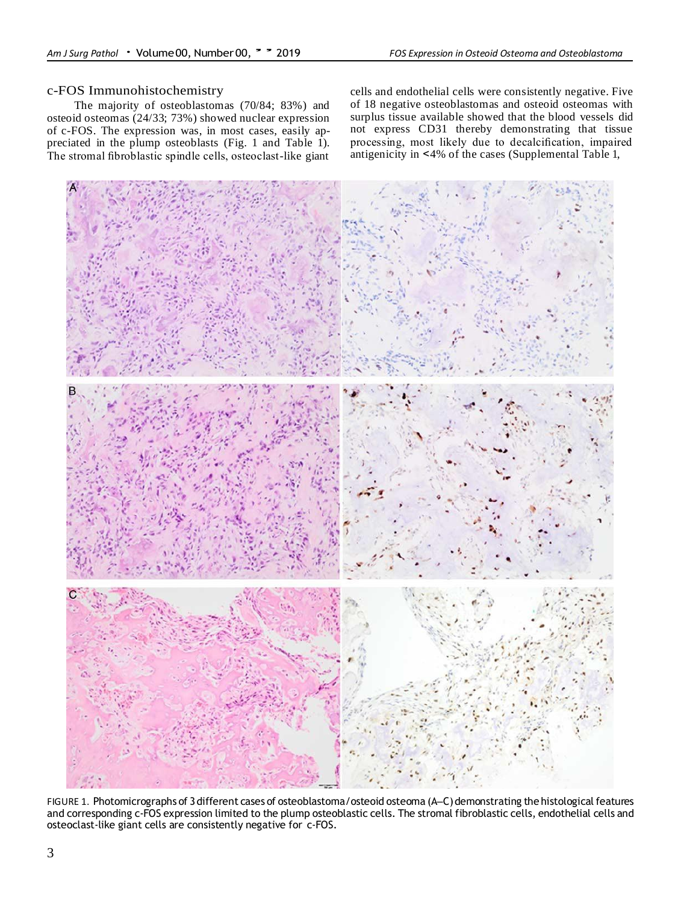### c-FOS Immunohistochemistry

The majority of osteoblastomas (70/84; 83%) and osteoid osteomas (24/33; 73%) showed nuclear expression of c-FOS. The expression was, in most cases, easily appreciated in the plump osteoblasts [\(Fig. 1](#page-2-0) and [Table](#page-3-0) 1). The stromal fibroblastic spindle cells, osteoclast-like giant

<span id="page-2-0"></span>cells and endothelial cells were consistently negative. Five of 18 negative osteoblastomas and osteoid osteomas with surplus tissue available showed that the blood vessels did not express CD31 thereby demonstrating that tissue processing, most likely due to decalcification, impaired antigenicity in <4% of the cases (Supplemental Table 1,



FIGURE 1. Photomicrographs of 3 different cases of osteoblastoma/osteoid osteoma (A–C) demonstrating the histological features and corresponding c-FOS expression limited to the plump osteoblastic cells. The stromal fibroblastic cells, endothelial cells and osteoclast-like giant cells are consistently negative for c-FOS.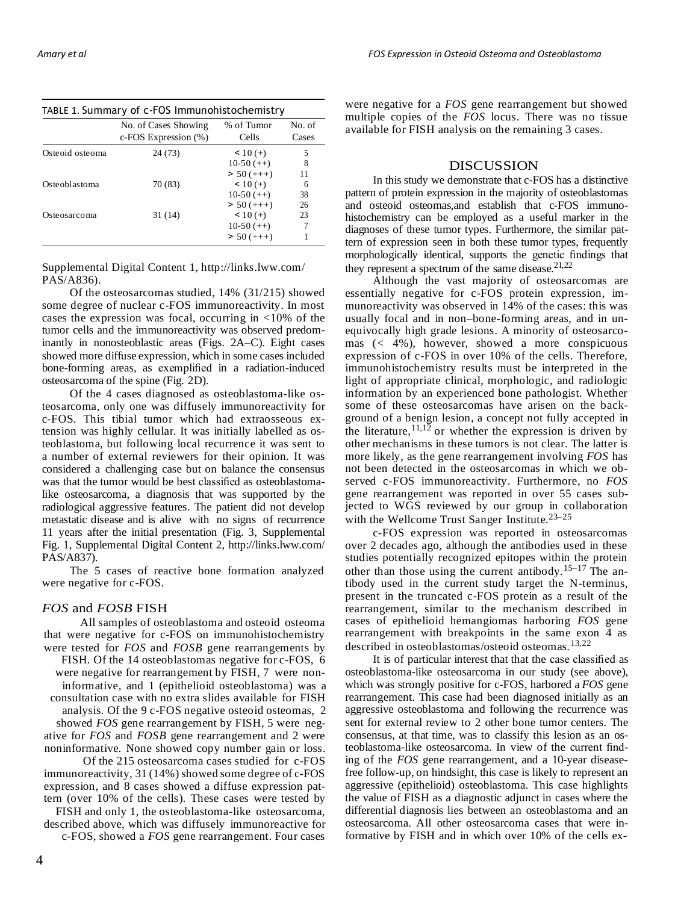<span id="page-3-0"></span>

|                 | No. of Cases Showing<br>c-FOS Expression (%) | % of Tumor<br>Cells                        | No. of<br>Cases |
|-----------------|----------------------------------------------|--------------------------------------------|-----------------|
| Osteoid osteoma | 24 (73)                                      | $\leq 10 (+)$<br>$10-50 (++)$              | 5<br>8          |
| Osteoblastoma   | 70 (83)                                      | $> 50 (+++)$<br>$< 10 (+)$<br>$10-50 (++)$ | 11<br>6<br>38   |
| Osteosarcoma    | 31 (14)                                      | $> 50 (+++)$<br>$< 10 (+)$<br>$10-50 (++)$ | 26<br>23        |
|                 |                                              | $> 50 (+++)$                               |                 |

Supplemental Digital Content 1, [http://links.lww.com/](http://links.lww.com/PAS/A836) [PAS/A836\).](http://links.lww.com/PAS/A836)

Of the osteosarcomas studied, 14% (31/215) showed some degree of nuclear c-FOS immunoreactivity. In most cases the expression was focal, occurring in <10% of the tumor cells and the immunoreactivity was observed predominantly in nonosteoblastic areas [\(Figs. 2A–](#page-4-0)C). Eight cases showed more diffuse expression, which in some cases included bone-forming areas, as exemplified in a radiation-induced osteosarcoma of the spine [\(Fig.](#page-4-0) 2D).

Of the 4 cases diagnosed as osteoblastoma-like osteosarcoma, only one was diffusely immunoreactivity for c-FOS. This tibial tumor which had extraosseous extension was highly cellular. It was initially labelled as osteoblastoma, but following local recurrence it was sent to a number of external reviewers for their opinion. It was considered a challenging case but on balance the consensus was that the tumor would be best classified as osteoblastomalike osteosarcoma, a diagnosis that was supported by the radiological aggressive features. The patient did not develop metastatic disease and is alive with no signs of recurrence 11 years after the initial presentation [\(Fig.](#page-5-0) 3, Supplemental Fig. 1, Supplemental Digital Content 2, [http://links.lww.com/](http://links.lww.com/PAS/A837) [PAS/A83](http://links.lww.com/PAS/A837)7).

The 5 cases of reactive bone formation analyzed were negative for c-FOS.

#### *FOS* and *FOSB* FISH

All samples of osteoblastoma and osteoid osteoma that were negative for c-FOS on immunohistochemistry were tested for *FOS* and *FOSB* gene rearrangements by FISH. Of the 14 osteoblastomas negative for c-FOS, 6 were negative for rearrangement by FISH, 7 were noninformative, and 1 (epithelioid osteoblastoma) was a consultation case with no extra slides available for FISH analysis. Of the 9 c-FOS negative osteoid osteomas, 2 showed *FOS* gene rearrangement by FISH, 5 were negative for *FOS* and *FOSB* gene rearrangement and 2 were noninformative. None showed copy number gain or loss. Of the 215 osteosarcoma cases studied for c-FOS

immunoreactivity, 31 (14%) showed some degree of c-FOS expression, and 8 cases showed a diffuse expression pattern (over 10% of the cells). These cases were tested by

FISH and only 1, the osteoblastoma-like osteosarcoma, described above, which was diffusely immunoreactive for c-FOS, showed a *FOS* gene rearrangement. Four cases

were negative for a *FOS* gene rearrangement but showed multiple copies of the *FOS* locus. There was no tissue available for FISH analysis on the remaining 3 cases.

#### DISCUSSION

In this study we demonstrate that c-FOS has a distinctive pattern of protein expression in the majority of osteoblastomas and osteoid osteomas,and establish that c-FOS immunohistochemistry can be employed as a useful marker in the diagnoses of these tumor types. Furthermore, the similar pattern of expression seen in both these tumor types, frequently morphologically identical, supports the genetic findings that they represent a spectrum of the same disease. $21,22$ 

Although the vast majority of osteosarcomas are essentially negative for c-FOS protein expression, immunoreactivity was observed in 14% of the cases: this was usually focal and in non–bone-forming areas, and in unequivocally high grade lesions. A minority of osteosarcomas (< 4%), however, showed a more conspicuous expression of c-FOS in over 10% of the cells. Therefore, immunohistochemistry results must be interpreted in the light of appropriate clinical, morphologic, and radiologic information by an experienced bone pathologist. Whether some of these osteosarcomas have arisen on the background of a benign lesion, a concept not fully accepted in the literature,  $11,12$  or whether the expression is driven by other mechanisms in these tumors is not clear. The latter is more likely, as the gene rearrangement involving *FOS* has not been detected in the osteosarcomas in which we observed c-FOS immunoreactivity. Furthermore, no *FOS*  gene rearrangement was reported in over 55 cases subjected to WGS reviewed by our group in collaboration with the Wellcome Trust Sanger Institute.<sup>23-25</sup>

c-FOS expression was reported in osteosarcomas over 2 decades ago, although the antibodies used in these studies potentially recognized epitopes within the protein other than those using the current antibody.<sup>[15–17](#page-6-9)</sup> The antibody used in the current study target the N-terminus, present in the truncated c-FOS protein as a result of the rearrangement, similar to the mechanism described in cases of epithelioid hemangiomas harboring *FOS* gene rearrangement with breakpoints in the same exon 4 as described in osteoblastomas/osteoid osteomas.[13,22](#page-6-8)

It is of particular interest that that the case classified as osteoblastoma-like osteosarcoma in our study (see above), which was strongly positive for c-FOS, harbored a *FOS* gene rearrangement. This case had been diagnosed initially as an aggressive osteoblastoma and following the recurrence was sent for external review to 2 other bone tumor centers. The consensus, at that time, was to classify this lesion as an osteoblastoma-like osteosarcoma. In view of the current finding of the *FOS* gene rearrangement, and a 10-year diseasefree follow-up, on hindsight, this case is likely to represent an aggressive (epithelioid) osteoblastoma. This case highlights the value of FISH as a diagnostic adjunct in cases where the differential diagnosis lies between an osteoblastoma and an osteosarcoma. All other osteosarcoma cases that were informative by FISH and in which over 10% of the cells ex-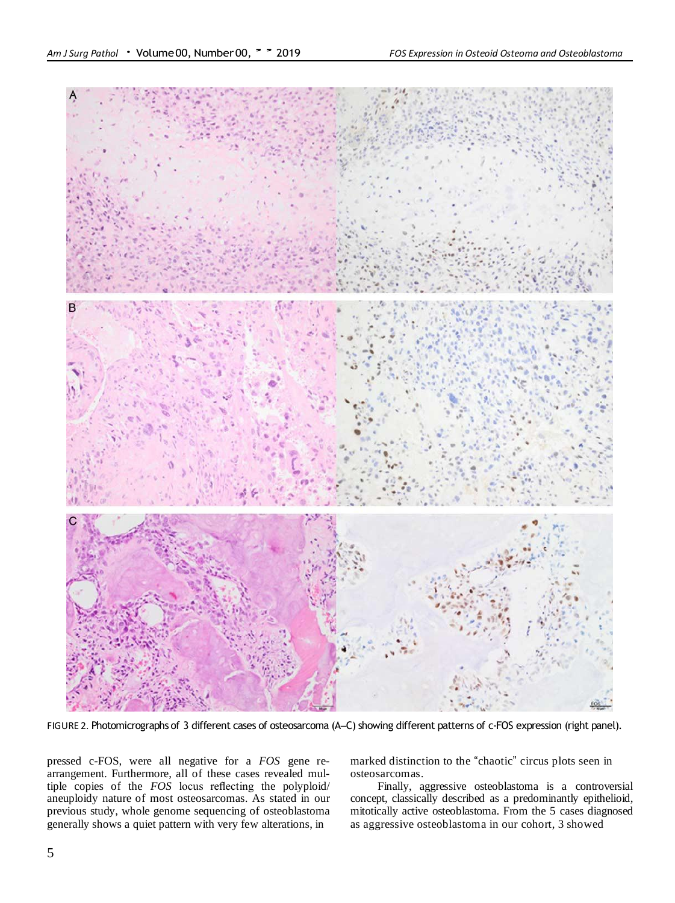

<span id="page-4-0"></span>FIGURE 2. Photomicrographs of 3 different cases of osteosarcoma (A–C) showing different patterns of c-FOS expression (right panel).

pressed c-FOS, were all negative for a *FOS* gene rearrangement. Furthermore, all of these cases revealed multiple copies of the *FOS* locus reflecting the polyploid/ aneuploidy nature of most osteosarcomas. As stated in our previous study, whole genome sequencing of osteoblastoma generally shows a quiet pattern with very few alterations, in

marked distinction to the "chaotic" circus plots seen in osteosarcomas.

Finally, aggressive osteoblastoma is a controversial concept, classically described as a predominantly epithelioid, mitotically active osteoblastoma. From the 5 cases diagnosed as aggressive osteoblastoma in our cohort, 3 showed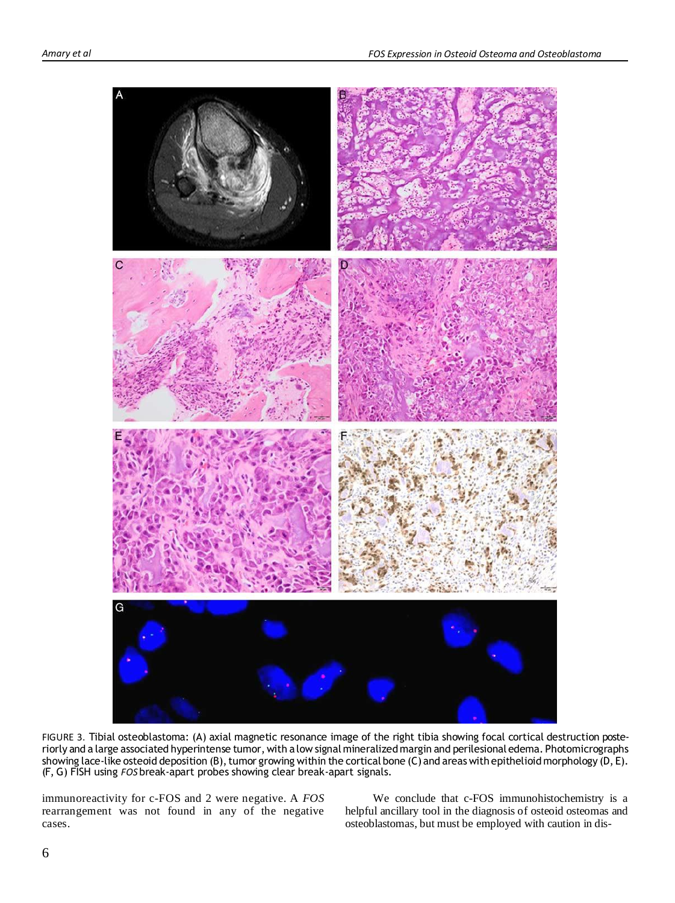

<span id="page-5-0"></span>FIGURE 3. Tibial osteoblastoma: (A) axial magnetic resonance image of the right tibia showing focal cortical destruction posteriorly and a large associated hyperintense tumor, with alow signal mineralized margin and perilesional edema. Photomicrographs showing lace-like osteoid deposition (B), tumor growing within the cortical bone (C) and areas with epithelioid morphology (D, E). (F, G) FISH using *FOS* break-apart probes showing clear break-apart signals.

immunoreactivity for c-FOS and 2 were negative. A *FOS*  rearrangement was not found in any of the negative cases.

We conclude that c-FOS immunohistochemistry is a helpful ancillary tool in the diagnosis of osteoid osteomas and osteoblastomas, but must be employed with caution in dis-